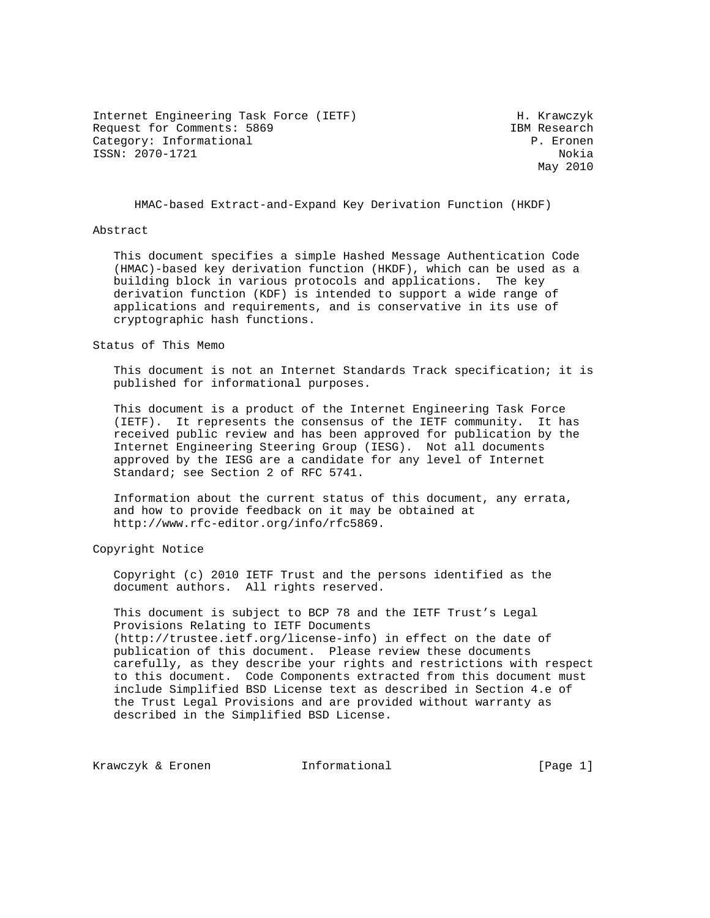Internet Engineering Task Force (IETF) H. Krawczyk Request for Comments: 5869 **IBM** Research Category: Informational example of the contraction of the P. Eronen ISSN: 2070-1721 Nokia

May 2010

HMAC-based Extract-and-Expand Key Derivation Function (HKDF)

### Abstract

 This document specifies a simple Hashed Message Authentication Code (HMAC)-based key derivation function (HKDF), which can be used as a building block in various protocols and applications. The key derivation function (KDF) is intended to support a wide range of applications and requirements, and is conservative in its use of cryptographic hash functions.

#### Status of This Memo

 This document is not an Internet Standards Track specification; it is published for informational purposes.

 This document is a product of the Internet Engineering Task Force (IETF). It represents the consensus of the IETF community. It has received public review and has been approved for publication by the Internet Engineering Steering Group (IESG). Not all documents approved by the IESG are a candidate for any level of Internet Standard; see Section 2 of RFC 5741.

 Information about the current status of this document, any errata, and how to provide feedback on it may be obtained at http://www.rfc-editor.org/info/rfc5869.

Copyright Notice

 Copyright (c) 2010 IETF Trust and the persons identified as the document authors. All rights reserved.

 This document is subject to BCP 78 and the IETF Trust's Legal Provisions Relating to IETF Documents (http://trustee.ietf.org/license-info) in effect on the date of publication of this document. Please review these documents carefully, as they describe your rights and restrictions with respect to this document. Code Components extracted from this document must include Simplified BSD License text as described in Section 4.e of the Trust Legal Provisions and are provided without warranty as described in the Simplified BSD License.

Krawczyk & Eronen 1nformational [Page 1]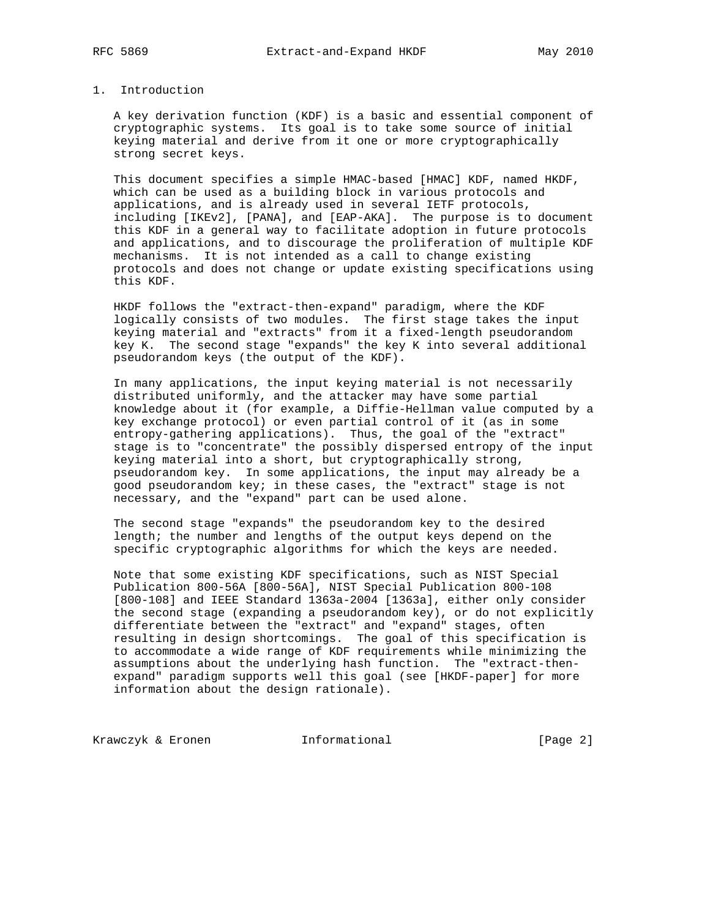# 1. Introduction

 A key derivation function (KDF) is a basic and essential component of cryptographic systems. Its goal is to take some source of initial keying material and derive from it one or more cryptographically strong secret keys.

 This document specifies a simple HMAC-based [HMAC] KDF, named HKDF, which can be used as a building block in various protocols and applications, and is already used in several IETF protocols, including [IKEv2], [PANA], and [EAP-AKA]. The purpose is to document this KDF in a general way to facilitate adoption in future protocols and applications, and to discourage the proliferation of multiple KDF mechanisms. It is not intended as a call to change existing protocols and does not change or update existing specifications using this KDF.

 HKDF follows the "extract-then-expand" paradigm, where the KDF logically consists of two modules. The first stage takes the input keying material and "extracts" from it a fixed-length pseudorandom key K. The second stage "expands" the key K into several additional pseudorandom keys (the output of the KDF).

 In many applications, the input keying material is not necessarily distributed uniformly, and the attacker may have some partial knowledge about it (for example, a Diffie-Hellman value computed by a key exchange protocol) or even partial control of it (as in some entropy-gathering applications). Thus, the goal of the "extract" stage is to "concentrate" the possibly dispersed entropy of the input keying material into a short, but cryptographically strong, pseudorandom key. In some applications, the input may already be a good pseudorandom key; in these cases, the "extract" stage is not necessary, and the "expand" part can be used alone.

 The second stage "expands" the pseudorandom key to the desired length; the number and lengths of the output keys depend on the specific cryptographic algorithms for which the keys are needed.

 Note that some existing KDF specifications, such as NIST Special Publication 800-56A [800-56A], NIST Special Publication 800-108 [800-108] and IEEE Standard 1363a-2004 [1363a], either only consider the second stage (expanding a pseudorandom key), or do not explicitly differentiate between the "extract" and "expand" stages, often resulting in design shortcomings. The goal of this specification is to accommodate a wide range of KDF requirements while minimizing the assumptions about the underlying hash function. The "extract-then expand" paradigm supports well this goal (see [HKDF-paper] for more information about the design rationale).

Krawczyk & Eronen **Informational Example 1** Page 2]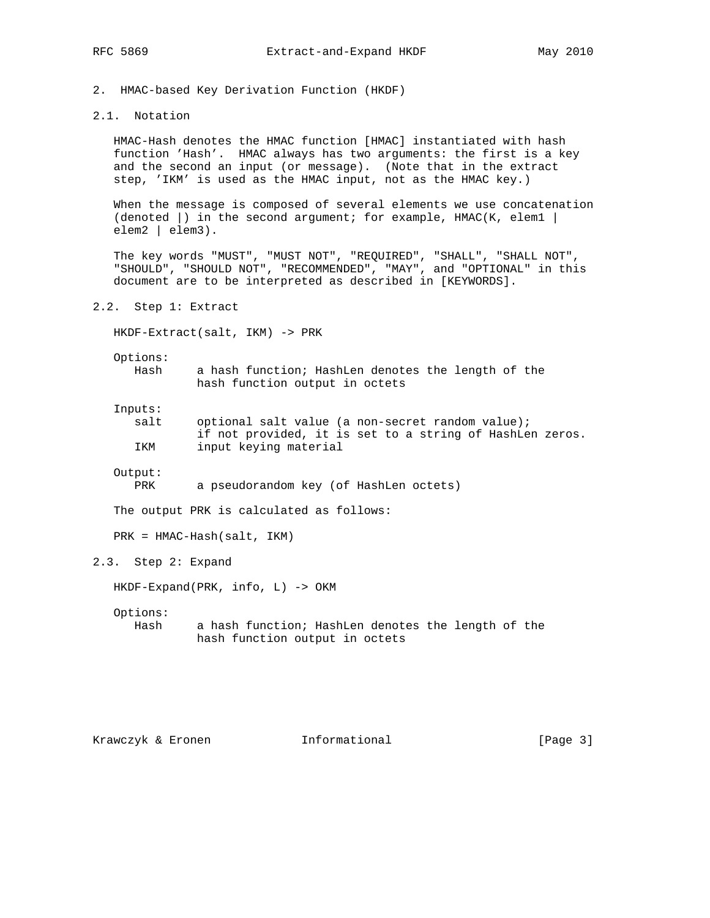2. HMAC-based Key Derivation Function (HKDF)

# 2.1. Notation

 HMAC-Hash denotes the HMAC function [HMAC] instantiated with hash function 'Hash'. HMAC always has two arguments: the first is a key and the second an input (or message). (Note that in the extract step, 'IKM' is used as the HMAC input, not as the HMAC key.)

 When the message is composed of several elements we use concatenation (denoted  $|$ ) in the second argument; for example, HMAC(K, elem1  $|$ elem2 | elem3).

 The key words "MUST", "MUST NOT", "REQUIRED", "SHALL", "SHALL NOT", "SHOULD", "SHOULD NOT", "RECOMMENDED", "MAY", and "OPTIONAL" in this document are to be interpreted as described in [KEYWORDS].

2.2. Step 1: Extract

HKDF-Extract(salt, IKM) -> PRK

Options:

 Hash a hash function; HashLen denotes the length of the hash function output in octets

Inputs:

| salt | optional salt value (a non-secret random value);         |
|------|----------------------------------------------------------|
|      | if not provided, it is set to a string of HashLen zeros. |
| IKM  | input keying material                                    |

Output:

PRK a pseudorandom key (of HashLen octets)

The output PRK is calculated as follows:

PRK = HMAC-Hash(salt, IKM)

## 2.3. Step 2: Expand

HKDF-Expand(PRK, info, L) -> OKM

Options:

 Hash a hash function; HashLen denotes the length of the hash function output in octets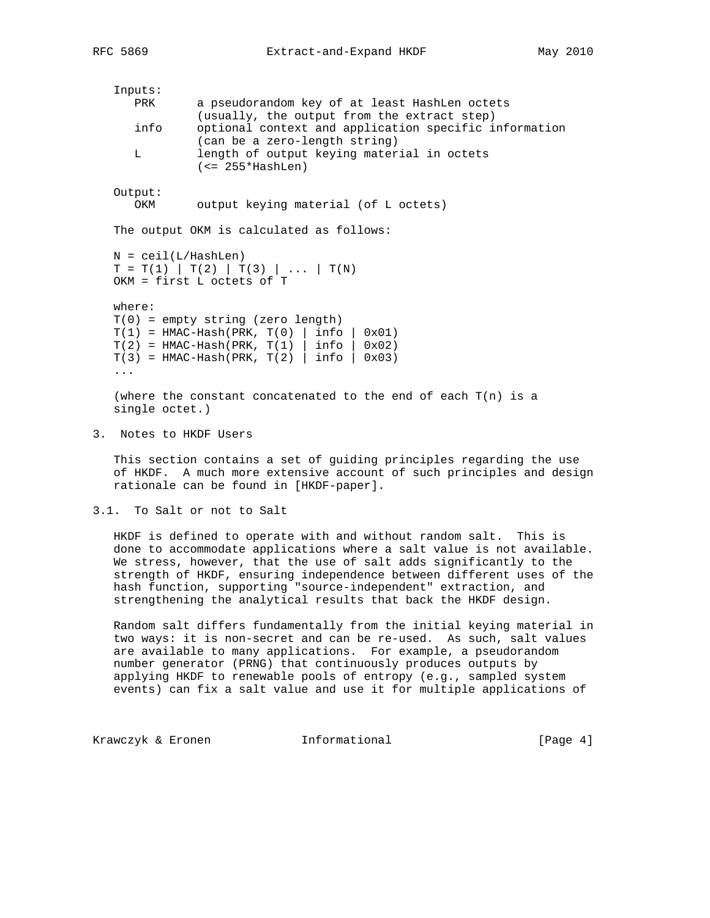Inputs: PRK a pseudorandom key of at least HashLen octets (usually, the output from the extract step) info optional context and application specific information (can be a zero-length string) L length of output keying material in octets (<= 255\*HashLen) Output: OKM output keying material (of L octets) The output OKM is calculated as follows:  $N = \text{ceil}(L/HashLen)$  $T = T(1) | T(2) | T(3) | ... | T(N)$  OKM = first L octets of T where: T(0) = empty string (zero length)  $T(1)$  = HMAC-Hash(PRK,  $T(0)$  | info | 0x01)  $T(2) = HMAC-Hash(PRK, T(1) | info | 0x02)$  $T(3)$  = HMAC-Hash(PRK,  $T(2)$  | info | 0x03) ... (where the constant concatenated to the end of each  $T(n)$  is a single octet.)

3. Notes to HKDF Users

 This section contains a set of guiding principles regarding the use of HKDF. A much more extensive account of such principles and design rationale can be found in [HKDF-paper].

3.1. To Salt or not to Salt

 HKDF is defined to operate with and without random salt. This is done to accommodate applications where a salt value is not available. We stress, however, that the use of salt adds significantly to the strength of HKDF, ensuring independence between different uses of the hash function, supporting "source-independent" extraction, and strengthening the analytical results that back the HKDF design.

 Random salt differs fundamentally from the initial keying material in two ways: it is non-secret and can be re-used. As such, salt values are available to many applications. For example, a pseudorandom number generator (PRNG) that continuously produces outputs by applying HKDF to renewable pools of entropy (e.g., sampled system events) can fix a salt value and use it for multiple applications of

Krawczyk & Eronen Informational [Page 4]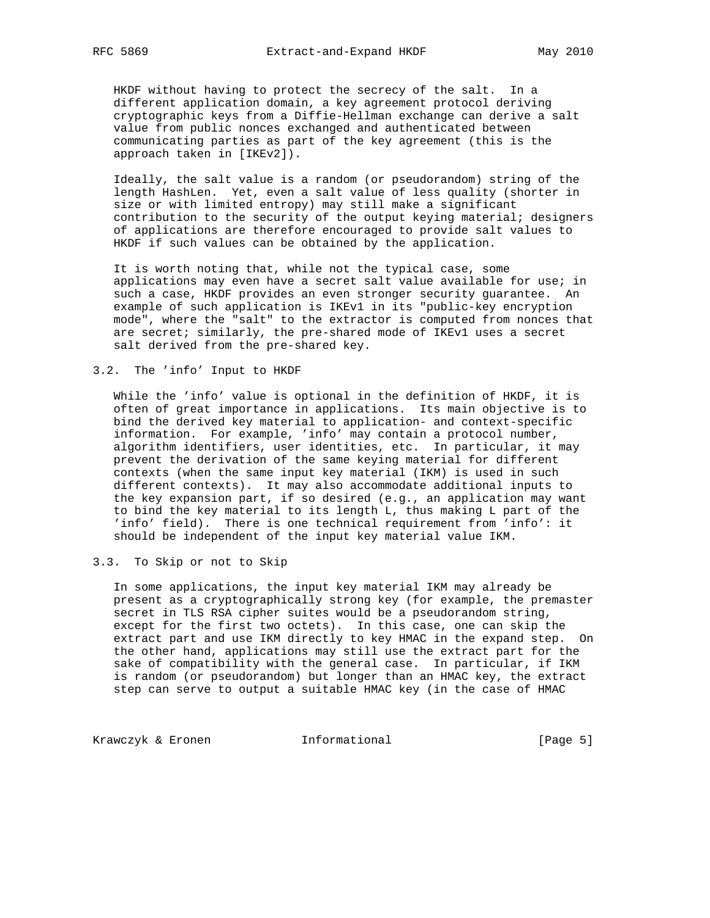HKDF without having to protect the secrecy of the salt. In a different application domain, a key agreement protocol deriving cryptographic keys from a Diffie-Hellman exchange can derive a salt value from public nonces exchanged and authenticated between communicating parties as part of the key agreement (this is the approach taken in [IKEv2]).

 Ideally, the salt value is a random (or pseudorandom) string of the length HashLen. Yet, even a salt value of less quality (shorter in size or with limited entropy) may still make a significant contribution to the security of the output keying material; designers of applications are therefore encouraged to provide salt values to HKDF if such values can be obtained by the application.

 It is worth noting that, while not the typical case, some applications may even have a secret salt value available for use; in such a case, HKDF provides an even stronger security guarantee. An example of such application is IKEv1 in its "public-key encryption mode", where the "salt" to the extractor is computed from nonces that are secret; similarly, the pre-shared mode of IKEv1 uses a secret salt derived from the pre-shared key.

### 3.2. The 'info' Input to HKDF

 While the 'info' value is optional in the definition of HKDF, it is often of great importance in applications. Its main objective is to bind the derived key material to application- and context-specific information. For example, 'info' may contain a protocol number, algorithm identifiers, user identities, etc. In particular, it may prevent the derivation of the same keying material for different contexts (when the same input key material (IKM) is used in such different contexts). It may also accommodate additional inputs to the key expansion part, if so desired (e.g., an application may want to bind the key material to its length L, thus making L part of the 'info' field). There is one technical requirement from 'info': it should be independent of the input key material value IKM.

## 3.3. To Skip or not to Skip

 In some applications, the input key material IKM may already be present as a cryptographically strong key (for example, the premaster secret in TLS RSA cipher suites would be a pseudorandom string, except for the first two octets). In this case, one can skip the extract part and use IKM directly to key HMAC in the expand step. On the other hand, applications may still use the extract part for the sake of compatibility with the general case. In particular, if IKM is random (or pseudorandom) but longer than an HMAC key, the extract step can serve to output a suitable HMAC key (in the case of HMAC

Krawczyk & Eronen Informational [Page 5]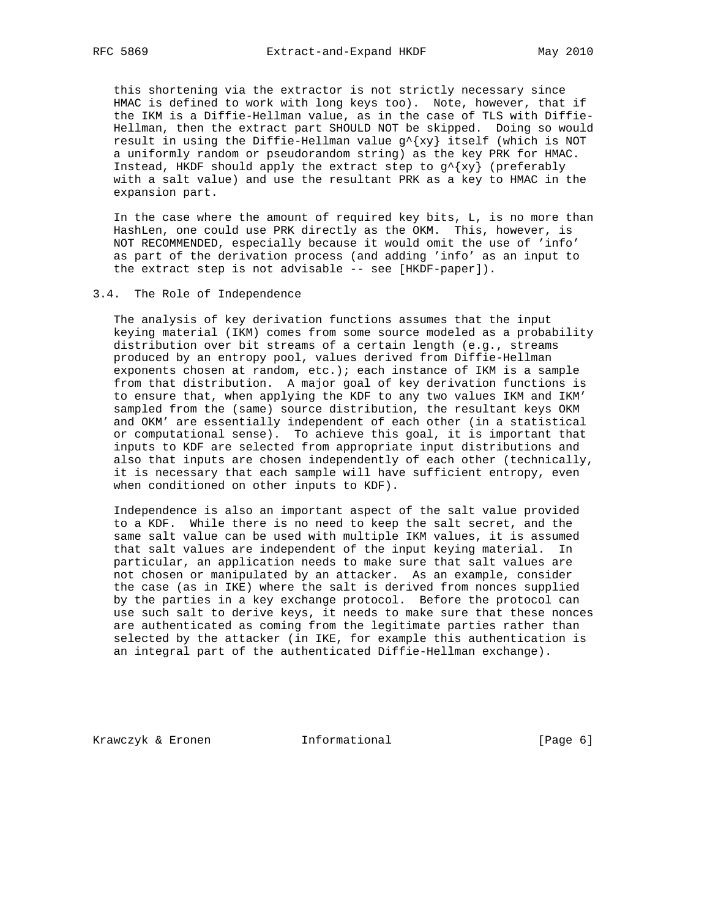this shortening via the extractor is not strictly necessary since HMAC is defined to work with long keys too). Note, however, that if the IKM is a Diffie-Hellman value, as in the case of TLS with Diffie- Hellman, then the extract part SHOULD NOT be skipped. Doing so would result in using the Diffie-Hellman value  $g^{(x)}$  itself (which is NOT a uniformly random or pseudorandom string) as the key PRK for HMAC. Instead, HKDF should apply the extract step to  $g^{\prime}$ {xy} (preferably with a salt value) and use the resultant PRK as a key to HMAC in the expansion part.

 In the case where the amount of required key bits, L, is no more than HashLen, one could use PRK directly as the OKM. This, however, is NOT RECOMMENDED, especially because it would omit the use of 'info' as part of the derivation process (and adding 'info' as an input to the extract step is not advisable -- see [HKDF-paper]).

### 3.4. The Role of Independence

 The analysis of key derivation functions assumes that the input keying material (IKM) comes from some source modeled as a probability distribution over bit streams of a certain length (e.g., streams produced by an entropy pool, values derived from Diffie-Hellman exponents chosen at random, etc.); each instance of IKM is a sample from that distribution. A major goal of key derivation functions is to ensure that, when applying the KDF to any two values IKM and IKM' sampled from the (same) source distribution, the resultant keys OKM and OKM' are essentially independent of each other (in a statistical or computational sense). To achieve this goal, it is important that inputs to KDF are selected from appropriate input distributions and also that inputs are chosen independently of each other (technically, it is necessary that each sample will have sufficient entropy, even when conditioned on other inputs to KDF).

 Independence is also an important aspect of the salt value provided to a KDF. While there is no need to keep the salt secret, and the same salt value can be used with multiple IKM values, it is assumed that salt values are independent of the input keying material. In particular, an application needs to make sure that salt values are not chosen or manipulated by an attacker. As an example, consider the case (as in IKE) where the salt is derived from nonces supplied by the parties in a key exchange protocol. Before the protocol can use such salt to derive keys, it needs to make sure that these nonces are authenticated as coming from the legitimate parties rather than selected by the attacker (in IKE, for example this authentication is an integral part of the authenticated Diffie-Hellman exchange).

Krawczyk & Eronen informational informational [Page 6]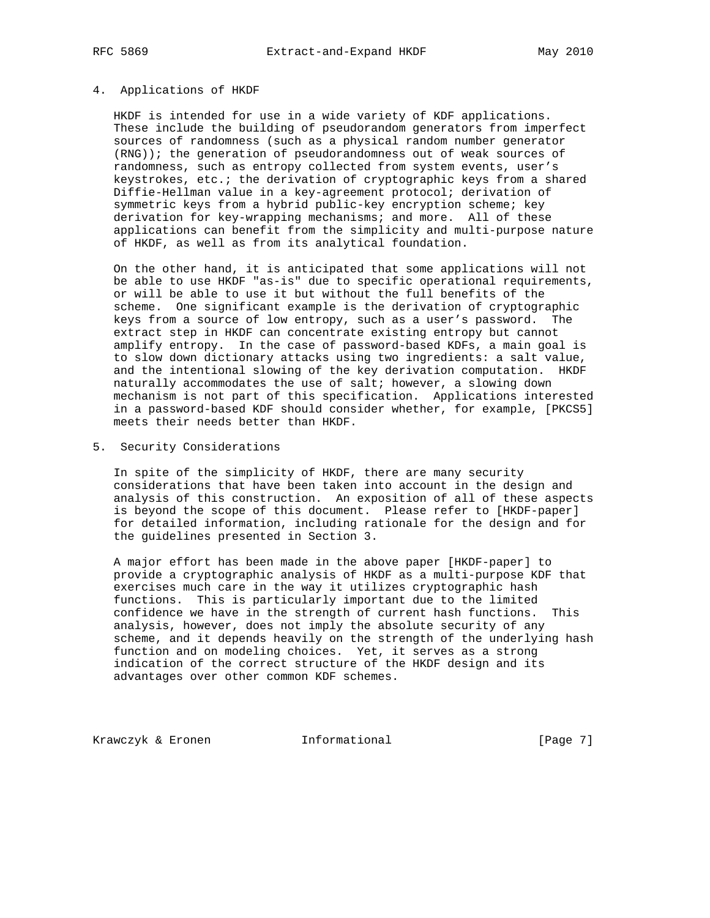### 4. Applications of HKDF

 HKDF is intended for use in a wide variety of KDF applications. These include the building of pseudorandom generators from imperfect sources of randomness (such as a physical random number generator (RNG)); the generation of pseudorandomness out of weak sources of randomness, such as entropy collected from system events, user's keystrokes, etc.; the derivation of cryptographic keys from a shared Diffie-Hellman value in a key-agreement protocol; derivation of symmetric keys from a hybrid public-key encryption scheme; key derivation for key-wrapping mechanisms; and more. All of these applications can benefit from the simplicity and multi-purpose nature of HKDF, as well as from its analytical foundation.

 On the other hand, it is anticipated that some applications will not be able to use HKDF "as-is" due to specific operational requirements, or will be able to use it but without the full benefits of the scheme. One significant example is the derivation of cryptographic keys from a source of low entropy, such as a user's password. The extract step in HKDF can concentrate existing entropy but cannot amplify entropy. In the case of password-based KDFs, a main goal is to slow down dictionary attacks using two ingredients: a salt value, and the intentional slowing of the key derivation computation. HKDF naturally accommodates the use of salt; however, a slowing down mechanism is not part of this specification. Applications interested in a password-based KDF should consider whether, for example, [PKCS5] meets their needs better than HKDF.

5. Security Considerations

 In spite of the simplicity of HKDF, there are many security considerations that have been taken into account in the design and analysis of this construction. An exposition of all of these aspects is beyond the scope of this document. Please refer to [HKDF-paper] for detailed information, including rationale for the design and for the guidelines presented in Section 3.

 A major effort has been made in the above paper [HKDF-paper] to provide a cryptographic analysis of HKDF as a multi-purpose KDF that exercises much care in the way it utilizes cryptographic hash functions. This is particularly important due to the limited confidence we have in the strength of current hash functions. This analysis, however, does not imply the absolute security of any scheme, and it depends heavily on the strength of the underlying hash function and on modeling choices. Yet, it serves as a strong indication of the correct structure of the HKDF design and its advantages over other common KDF schemes.

Krawczyk & Eronen Informational [Page 7]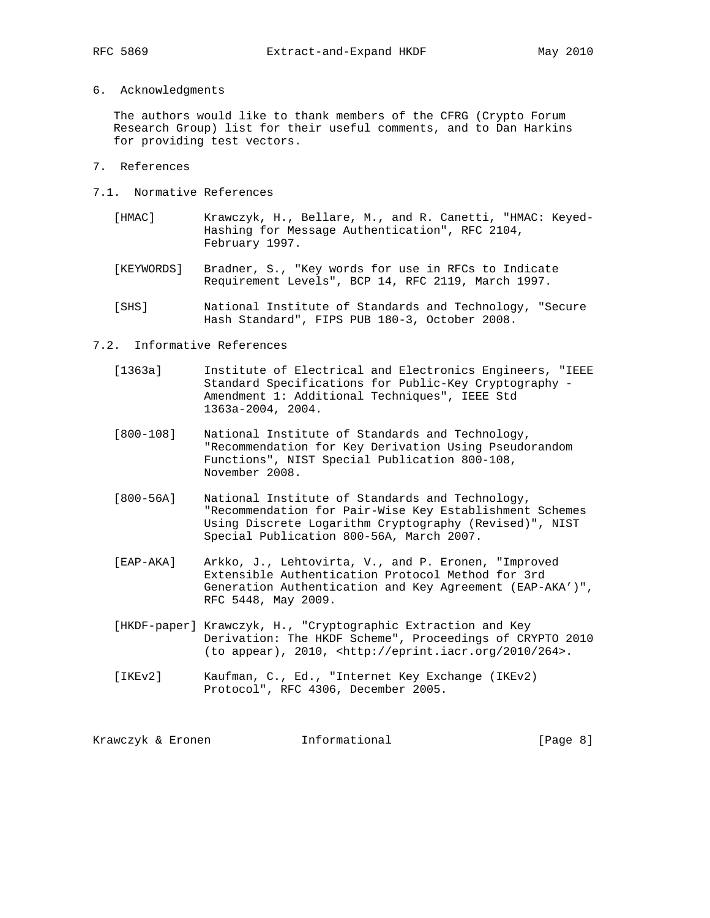6. Acknowledgments

 The authors would like to thank members of the CFRG (Crypto Forum Research Group) list for their useful comments, and to Dan Harkins for providing test vectors.

- 7. References
- 7.1. Normative References
	- [HMAC] Krawczyk, H., Bellare, M., and R. Canetti, "HMAC: Keyed- Hashing for Message Authentication", RFC 2104, February 1997.
	- [KEYWORDS] Bradner, S., "Key words for use in RFCs to Indicate Requirement Levels", BCP 14, RFC 2119, March 1997.
	- [SHS] National Institute of Standards and Technology, "Secure Hash Standard", FIPS PUB 180-3, October 2008.

### 7.2. Informative References

- [1363a] Institute of Electrical and Electronics Engineers, "IEEE Standard Specifications for Public-Key Cryptography - Amendment 1: Additional Techniques", IEEE Std 1363a-2004, 2004.
- [800-108] National Institute of Standards and Technology, "Recommendation for Key Derivation Using Pseudorandom Functions", NIST Special Publication 800-108, November 2008.
- [800-56A] National Institute of Standards and Technology, "Recommendation for Pair-Wise Key Establishment Schemes Using Discrete Logarithm Cryptography (Revised)", NIST Special Publication 800-56A, March 2007.
- [EAP-AKA] Arkko, J., Lehtovirta, V., and P. Eronen, "Improved Extensible Authentication Protocol Method for 3rd Generation Authentication and Key Agreement (EAP-AKA')", RFC 5448, May 2009.
- [HKDF-paper] Krawczyk, H., "Cryptographic Extraction and Key Derivation: The HKDF Scheme", Proceedings of CRYPTO 2010 (to appear), 2010, <http://eprint.iacr.org/2010/264>.
- [IKEv2] Kaufman, C., Ed., "Internet Key Exchange (IKEv2) Protocol", RFC 4306, December 2005.

| Krawczyk & Eronen | Informational | [Page 8] |
|-------------------|---------------|----------|
|-------------------|---------------|----------|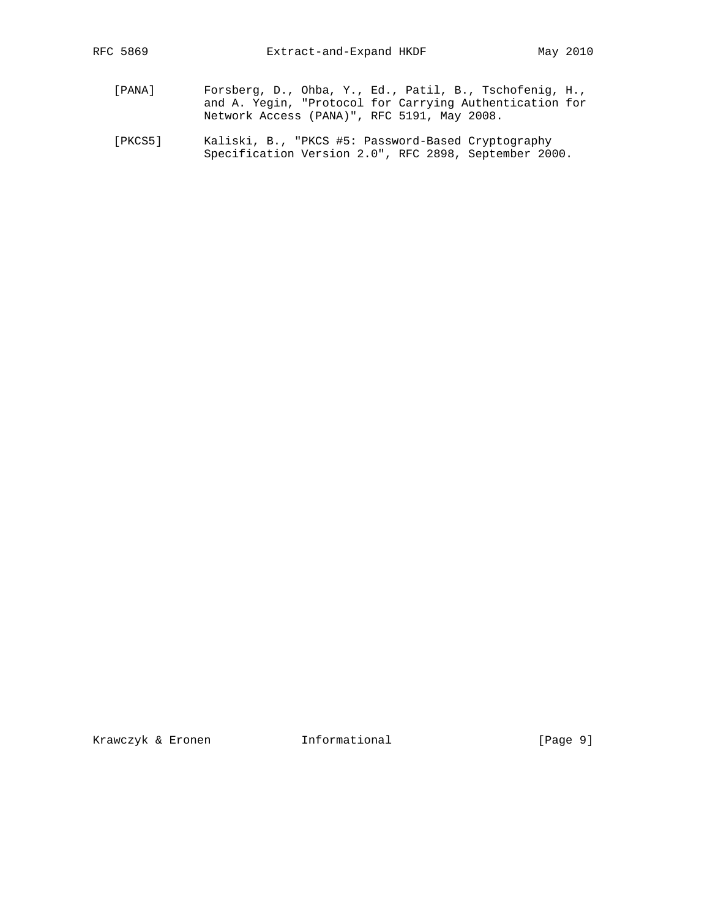- [PANA] Forsberg, D., Ohba, Y., Ed., Patil, B., Tschofenig, H., and A. Yegin, "Protocol for Carrying Authentication for Network Access (PANA)", RFC 5191, May 2008.
	- [PKCS5] Kaliski, B., "PKCS #5: Password-Based Cryptography Specification Version 2.0", RFC 2898, September 2000.

Krawczyk & Eronen 1nformational (Page 9)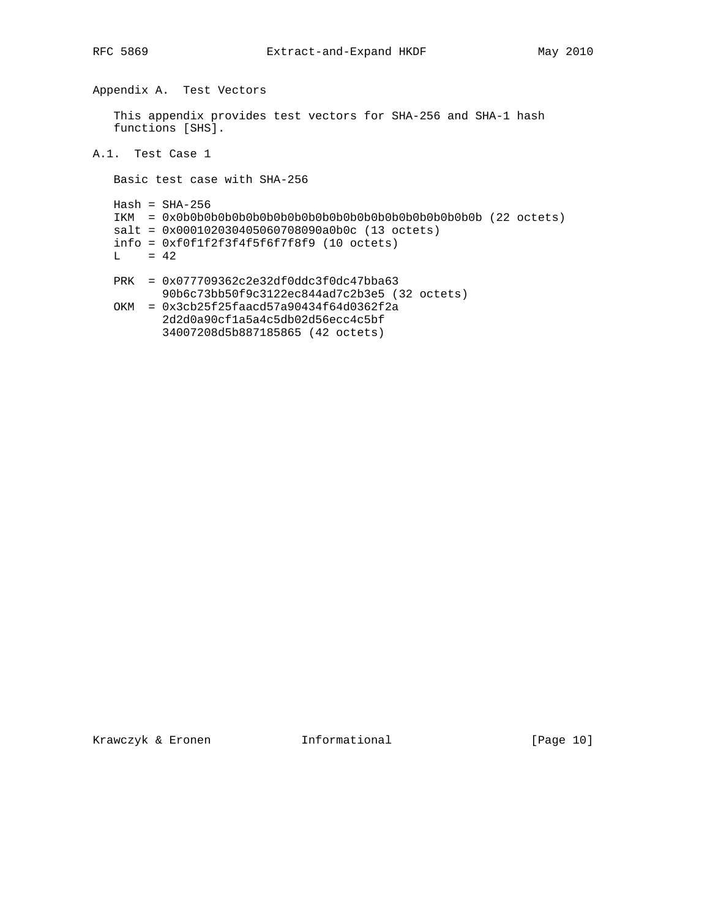Appendix A. Test Vectors

 This appendix provides test vectors for SHA-256 and SHA-1 hash functions [SHS].

A.1. Test Case 1

Basic test case with SHA-256

 $Hash = SHA-256$  IKM = 0x0b0b0b0b0b0b0b0b0b0b0b0b0b0b0b0b0b0b0b0b0b0b (22 octets) salt = 0x000102030405060708090a0b0c (13 octets) info = 0xf0f1f2f3f4f5f6f7f8f9 (10 octets)  $L = 42$  PRK = 0x077709362c2e32df0ddc3f0dc47bba63 90b6c73bb50f9c3122ec844ad7c2b3e5 (32 octets) OKM = 0x3cb25f25faacd57a90434f64d0362f2a 2d2d0a90cf1a5a4c5db02d56ecc4c5bf 34007208d5b887185865 (42 octets)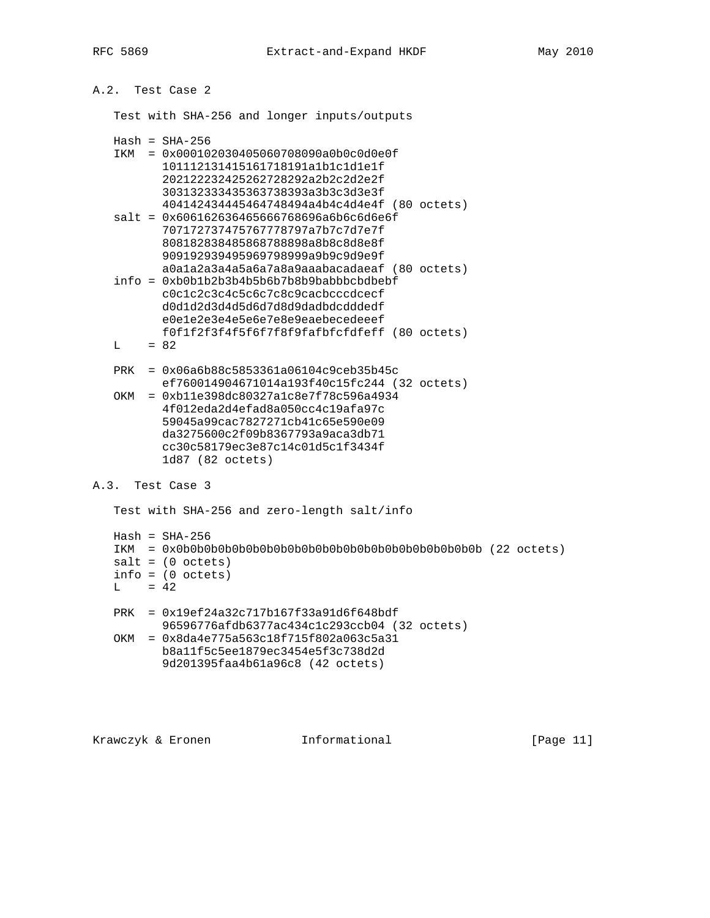A.2. Test Case 2

Test with SHA-256 and longer inputs/outputs

|     | $Hash = SHA-256$                               |
|-----|------------------------------------------------|
| TKM | $= 0x000102030405060708090a0b0c0d0e0f$         |
|     | 101112131415161718191a1b1c1d1e1f               |
|     | 202122232425262728292a2b2c2d2e2f               |
|     | 303132333435363738393a3b3c3d3e3f               |
|     | 404142434445464748494a4b4c4d4e4f (80 octets)   |
|     | $salt = 0x606162636465666768696a6b6c6d6ef$     |
|     | 707172737475767778797a7b7c7d7e7f               |
|     | 808182838485868788898a8b8c8d8e8f               |
|     | 909192939495969798999a9b9c9d9e9f               |
|     | a0ala2a3a4a5a6a7a8a9aaabacadaeaf (80 octets)   |
|     | $info = 0xb0b1b2b3b4b5b6b7b8b9babbbcbdbebf$    |
|     | c0c1c2c3c4c5c6c7c8c9cacbcccdcecf               |
|     | d0d1d2d3d4d5d6d7d8d9dadbdcdddedf               |
|     | e0e1e2e3e4e5e6e7e8e9eaebecedeeef               |
|     | f0f1f2f3f4f5f6f7f8f9fafbfcfdfeff (80 octets)   |
| т.  | $= 82$                                         |
|     |                                                |
| PRK | $= 0x06a6b88c5853361a06104c9ceb35b45c$         |
|     | $ef760014904671014a193f40c15fc244$ (32 octets) |
| OKM | $= 0xb11e398dc80327a1c8e7f78c596a4934$         |
|     | 4f012eda2d4efad8a050cc4c19afa97c               |
|     | 59045a99cac7827271cb41c65e590e09               |
|     | da3275600c2f09b8367793a9aca3db71               |
|     |                                                |

## A.3. Test Case 3

Test with SHA-256 and zero-length salt/info

cc30c58179ec3e87c14c01d5c1f3434f

1d87 (82 octets)

```
Hash = SHA-256 IKM = 0x0b0b0b0b0b0b0b0b0b0b0b0b0b0b0b0b0b0b0b0b0b0b (22 octets)
salt = (0 octets) info = (0 octets)
L = 42 PRK = 0x19ef24a32c717b167f33a91d6f648bdf
       96596776afdb6377ac434c1c293ccb04 (32 octets)
 OKM = 0x8da4e775a563c18f715f802a063c5a31
      b8a11f5c5ee1879ec3454e5f3c738d2d
       9d201395faa4b61a96c8 (42 octets)
```
Krawczyk & Eronen Informational [Page 11]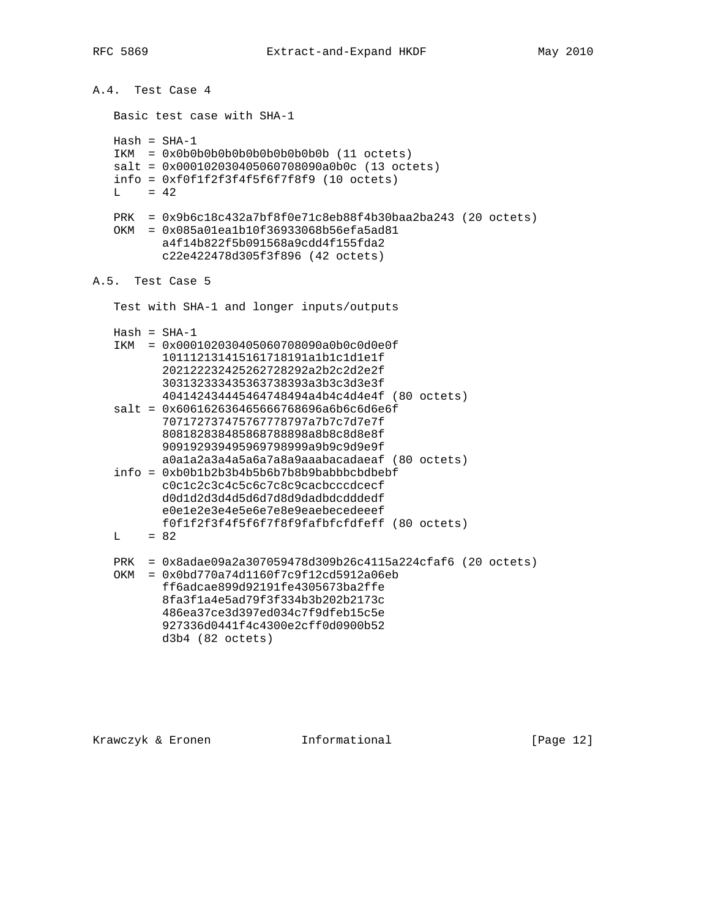A.4. Test Case 4 Basic test case with SHA-1  $Hash = SHA-1$  IKM = 0x0b0b0b0b0b0b0b0b0b0b0b (11 octets) salt = 0x000102030405060708090a0b0c (13 octets) info = 0xf0f1f2f3f4f5f6f7f8f9 (10 octets)  $L = 42$  PRK = 0x9b6c18c432a7bf8f0e71c8eb88f4b30baa2ba243 (20 octets) OKM = 0x085a01ea1b10f36933068b56efa5ad81 a4f14b822f5b091568a9cdd4f155fda2 c22e422478d305f3f896 (42 octets) A.5. Test Case 5 Test with SHA-1 and longer inputs/outputs  $Hash = SHA-1$  IKM = 0x000102030405060708090a0b0c0d0e0f 101112131415161718191a1b1c1d1e1f 202122232425262728292a2b2c2d2e2f 303132333435363738393a3b3c3d3e3f 404142434445464748494a4b4c4d4e4f (80 octets) salt = 0x606162636465666768696a6b6c6d6e6f 707172737475767778797a7b7c7d7e7f 808182838485868788898a8b8c8d8e8f 909192939495969798999a9b9c9d9e9f a0a1a2a3a4a5a6a7a8a9aaabacadaeaf (80 octets) info = 0xb0b1b2b3b4b5b6b7b8b9babbbcbdbebf c0c1c2c3c4c5c6c7c8c9cacbcccdcecf d0d1d2d3d4d5d6d7d8d9dadbdcdddedf e0e1e2e3e4e5e6e7e8e9eaebecedeeef f0f1f2f3f4f5f6f7f8f9fafbfcfdfeff (80 octets)  $L = 82$  PRK = 0x8adae09a2a307059478d309b26c4115a224cfaf6 (20 octets) OKM = 0x0bd770a74d1160f7c9f12cd5912a06eb ff6adcae899d92191fe4305673ba2ffe 8fa3f1a4e5ad79f3f334b3b202b2173c 486ea37ce3d397ed034c7f9dfeb15c5e 927336d0441f4c4300e2cff0d0900b52 d3b4 (82 octets)

Krawczyk & Eronen 1nformational [Page 12]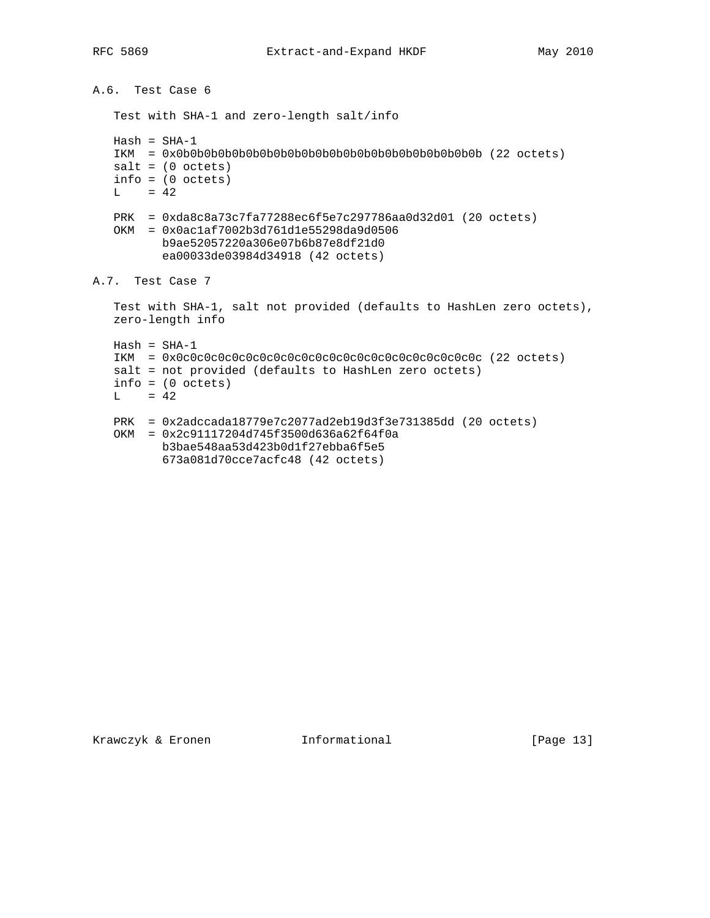```
A.6. Test Case 6
    Test with SHA-1 and zero-length salt/info
  Hash = SHA-1 IKM = 0x0b0b0b0b0b0b0b0b0b0b0b0b0b0b0b0b0b0b0b0b0b0b (22 octets)
   salt = (0 octets)info = (0 octets)L = 42 PRK = 0xda8c8a73c7fa77288ec6f5e7c297786aa0d32d01 (20 octets)
   OKM = 0x0ac1af7002b3d761d1e55298da9d0506
          b9ae52057220a306e07b6b87e8df21d0
           ea00033de03984d34918 (42 octets)
A.7. Test Case 7
   Test with SHA-1, salt not provided (defaults to HashLen zero octets),
    zero-length info
  Hash = SHA-1 IKM = 0x0c0c0c0c0c0c0c0c0c0c0c0c0c0c0c0c0c0c0c0c0c0c (22 octets)
   salt = not provided (defaults to HashLen zero octets)
  info = (0 octets)L = 42 PRK = 0x2adccada18779e7c2077ad2eb19d3f3e731385dd (20 octets)
    OKM = 0x2c91117204d745f3500d636a62f64f0a
          b3bae548aa53d423b0d1f27ebba6f5e5
          673a081d70cce7acfc48 (42 octets)
```